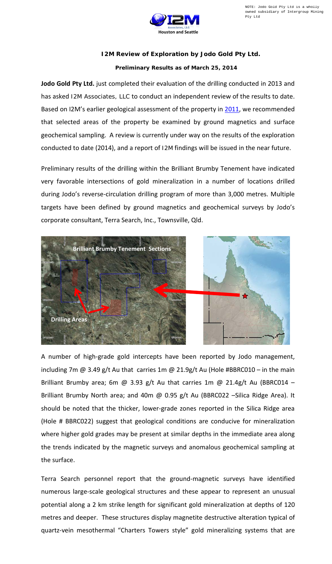

## **I2M Review of Exploration by Jodo Gold Pty Ltd.**

## **Preliminary Results as of March 25, 2014**

**Jodo Gold Pty Ltd.** just completed their evaluation of the drilling conducted in 2013 and has asked I2M Associates, LLC to conduct an independent review of the results to date. Based on I2M's earlier geological assessment of the property in [2011,](http://www.i2massociates.com/downloads/BrilliantBrumby/BrilliantBrumbyDraft03312011ver1.3.pdf) we recommended that selected areas of the property be examined by ground magnetics and surface geochemical sampling. A review is currently under way on the results of the exploration conducted to date (2014), and a report of I2M findings will be issued in the near future.

Preliminary results of the drilling within the Brilliant Brumby Tenement have indicated very favorable intersections of gold mineralization in a number of locations drilled during Jodo's reverse-circulation drilling program of more than 3,000 metres. Multiple targets have been defined by ground magnetics and geochemical surveys by Jodo's corporate consultant, Terra Search, Inc., Townsville, Qld.



A number of high-grade gold intercepts have been reported by Jodo management, including 7m  $\omega$  3.49 g/t Au that carries 1m  $\omega$  21.9g/t Au (Hole #BBRC010 – in the main Brilliant Brumby area; 6m @ 3.93 g/t Au that carries 1m @ 21.4g/t Au (BBRC014 – Brilliant Brumby North area; and 40m @ 0.95 g/t Au (BBRC022 –Silica Ridge Area). It should be noted that the thicker, lower-grade zones reported in the Silica Ridge area (Hole # BBRC022) suggest that geological conditions are conducive for mineralization where higher gold grades may be present at similar depths in the immediate area along the trends indicated by the magnetic surveys and anomalous geochemical sampling at the surface.

Terra Search personnel report that the ground-magnetic surveys have identified numerous large-scale geological structures and these appear to represent an unusual potential along a 2 km strike length for significant gold mineralization at depths of 120 metres and deeper. These structures display magnetite destructive alteration typical of quartz-vein mesothermal "Charters Towers style" gold mineralizing systems that are